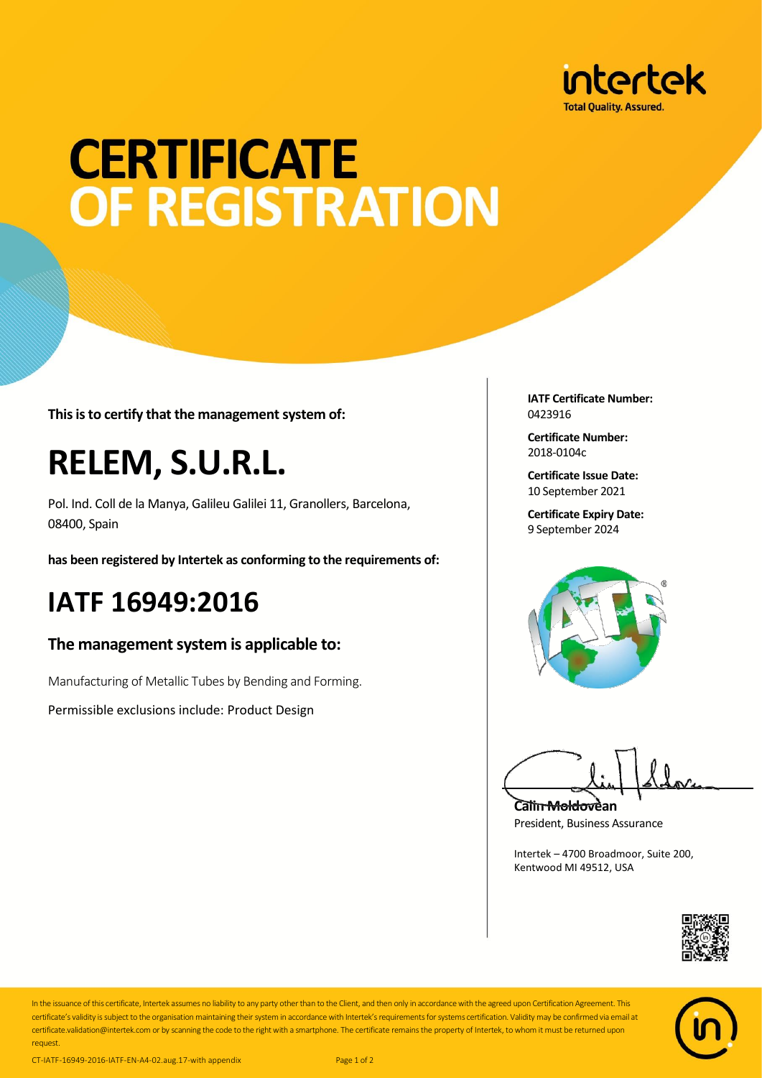

# **CERTIFICATE** OF REGISTRATION

**This is to certify that the management system of:**

## **RELEM, S.U.R.L.**

Pol. Ind. Coll de la Manya, Galileu Galilei 11, Granollers, Barcelona, 08400, Spain

**has been registered by Intertek as conforming to the requirements of:**

### **IATF 16949:2016**

#### **The management system is applicable to:**

Manufacturing of Metallic Tubes by Bending and Forming.

Permissible exclusions include: Product Design

**IATF Certificate Number:** 0423916

**Certificate Number:** 2018-0104c

**Certificate Issue Date:** 10 September 2021

**Certificate Expiry Date:** 9 September 2024



**Calin Moldovean** President, Business Assurance

Intertek – 4700 Broadmoor, Suite 200, Kentwood MI 49512, USA





In the issuance of this certificate, Intertek assumes no liability to any party other than to the Client, and then only in accordance with the agreed upon Certification Agreement. This certificate's validity is subject to the organisation maintaining their system in accordance with Intertek's requirements for systems certification. Validity may be confirmed via email at certificate.validation@intertek.com or by scanning the code to the right with a smartphone. The certificate remains the property of Intertek, to whom it must be returned upon request.